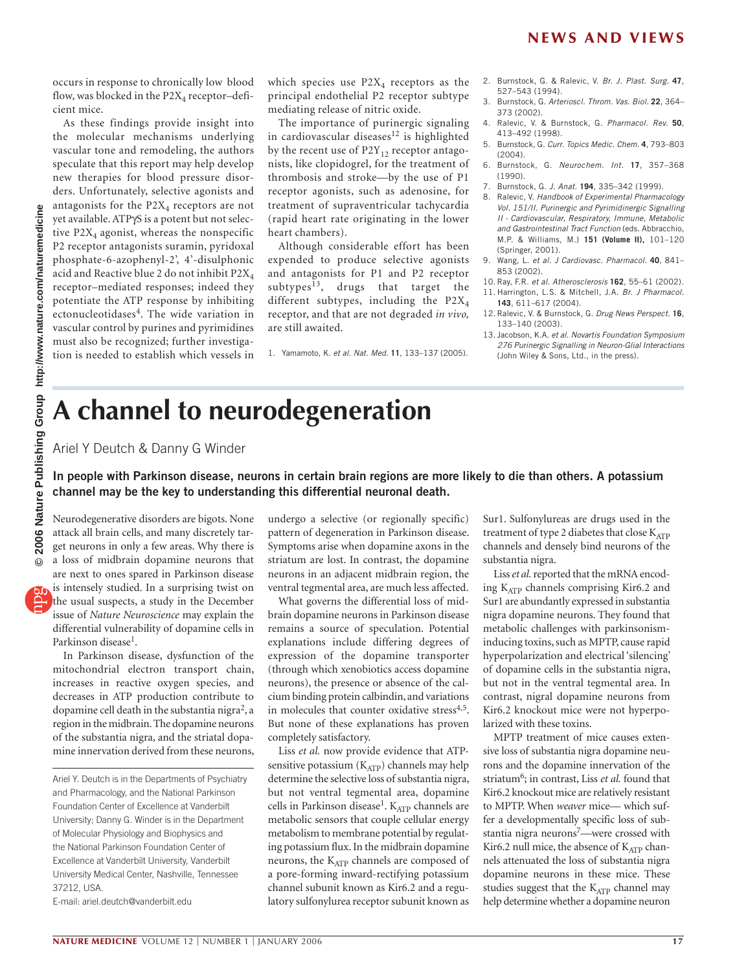occurs in response to chronically low blood flow, was blocked in the  $P2X_4$  receptor-deficient mice.

As these findings provide insight into the molecular mechanisms underlying vascular tone and remodeling, the authors speculate that this report may help develop new therapies for blood pressure disorders. Unfortunately, selective agonists and antagonists for the  $P2X_4$  receptors are not yet available. ATPγS is a potent but not selective  $P2X_4$  agonist, whereas the nonspecific P2 receptor antagonists suramin, pyridoxal phosphate-6-azophenyl-2', 4'-disulphonic acid and Reactive blue 2 do not inhibit P2X4 receptor–mediated responses; indeed they potentiate the ATP response by inhibiting ectonucleotidases $4$ . The wide variation in vascular control by purines and pyrimidines must also be recognized; further investigation is needed to establish which vessels in

which species use  $P2X_4$  receptors as the principal endothelial P2 receptor subtype mediating release of nitric oxide.

The importance of purinergic signaling in cardiovascular diseases $12$  is highlighted by the recent use of  $P2Y_{12}$  receptor antagonists, like clopidogrel, for the treatment of thrombosis and stroke—by the use of P1 receptor agonists, such as adenosine, for treatment of supraventricular tachycardia (rapid heart rate originating in the lower heart chambers).

Although considerable effort has been expended to produce selective agonists and antagonists for P1 and P2 receptor subtypes $^{13}$ , drugs that target the different subtypes, including the  $P2X_4$ receptor, and that are not degraded *in vivo,* are still awaited.

1. Yamamoto, K. *et al. Nat. Med*. **11**, 133–137 (2005).

- 2. Burnstock, G. & Ralevic, V. *Br. J. Plast. Surg.* **47**, 527–543 (1994).
- 3. Burnstock, G. *Arterioscl. Throm. Vas. Biol.* **22**, 364– 373 (2002).
- 4. Ralevic, V. & Burnstock, G. *Pharmacol. Rev.* **50**, 413–492 (1998).
- 5. Burnstock, G. *Curr. Topics Medic. Chem.* **4**, 793–803 (2004).
- 6. Burnstock, G. *Neurochem. Int.* **17**, 357–368 (1990).
- 7. Burnstock, G. *J. Anat.* **194**, 335–342 (1999).
- 8. Ralevic, V. *Handbook of Experimental Pharmacology Vol. 151/II. Purinergic and Pyrimidinergic Signalling II - Cardiovascular, Respiratory, Immune, Metabolic and Gastrointestinal Tract Function* (eds. Abbracchio, M.P. & Williams, M.) **151 (Volume II),** 101–120 (Springer, 2001).
- 9. Wang, L. *et al. J Cardiovasc. Pharmacol.* **40**, 841– 853 (2002).
- 10. Ray, F.R. *et al*. *Atherosclerosis* **162**, 55–61 (2002). 11. Harrington, L.S. & Mitchell, J.A. *Br. J Pharmacol.* **143**, 611–617 (2004).
- 12. Ralevic, V. & Burnstock, G. *Drug News Perspect.* **16**, 133–140 (2003).
- 13. Jacobson, K.A. *et al. Novartis Foundation Symposium 276 Purinergic Signalling in Neuron-Glial Interactions*  (John Wiley & Sons, Ltd., in the press).

## **A channel to neurodegeneration**

Ariel Y Deutch & Danny G Winder

## **In people with Parkinson disease, neurons in certain brain regions are more likely to die than others. A potassium channel may be the key to understanding this differential neuronal death.**

Neurodegenerative disorders are bigots. None attack all brain cells, and many discretely target neurons in only a few areas. Why there is a loss of midbrain dopamine neurons that are next to ones spared in Parkinson disease is intensely studied. In a surprising twist on the usual suspects, a study in the December issue of *Nature Neuroscience* may explain the differential vulnerability of dopamine cells in Parkinson disease<sup>1</sup>.

In Parkinson disease, dysfunction of the mitochondrial electron transport chain, increases in reactive oxygen species, and decreases in ATP production contribute to dopamine cell death in the substantia nigra<sup>2</sup>, a region in the midbrain. The dopamine neurons of the substantia nigra, and the striatal dopamine innervation derived from these neurons,

E-mail: ariel.deutch@vanderbilt.edu

undergo a selective (or regionally specific) pattern of degeneration in Parkinson disease. Symptoms arise when dopamine axons in the striatum are lost. In contrast, the dopamine neurons in an adjacent midbrain region, the ventral tegmental area, are much less affected.

What governs the differential loss of midbrain dopamine neurons in Parkinson disease remains a source of speculation. Potential explanations include differing degrees of expression of the dopamine transporter (through which xenobiotics access dopamine neurons), the presence or absence of the calcium binding protein calbindin, and variations in molecules that counter oxidative stress<sup>4,5</sup>. But none of these explanations has proven completely satisfactory.

Liss *et al.* now provide evidence that ATPsensitive potassium  $(K_{ATP})$  channels may help determine the selective loss of substantia nigra, but not ventral tegmental area, dopamine cells in Parkinson disease<sup>1</sup>.  $K_{ATP}$  channels are metabolic sensors that couple cellular energy metabolism to membrane potential by regulating potassium flux. In the midbrain dopamine neurons, the  $K_{ATP}$  channels are composed of a pore-forming inward-rectifying potassium channel subunit known as Kir6.2 and a regulatory sulfonylurea receptor subunit known as

Sur1. Sulfonylureas are drugs used in the treatment of type 2 diabetes that close  $K_{ATP}$ channels and densely bind neurons of the substantia nigra.

Liss *et al.* reported that the mRNA encoding  $K_{ATP}$  channels comprising Kir6.2 and Sur1 are abundantly expressed in substantia nigra dopamine neurons. They found that metabolic challenges with parkinsonisminducing toxins, such as MPTP, cause rapid hyperpolarization and electrical 'silencing' of dopamine cells in the substantia nigra, but not in the ventral tegmental area. In contrast, nigral dopamine neurons from Kir6.2 knockout mice were not hyperpolarized with these toxins.

MPTP treatment of mice causes extensive loss of substantia nigra dopamine neurons and the dopamine innervation of the striatum<sup>6</sup>; in contrast, Liss *et al.* found that Kir6.2 knockout mice are relatively resistant to MPTP. When *weaver* mice— which suffer a developmentally specific loss of substantia nigra neurons7—were crossed with Kir6.2 null mice, the absence of  $K_{ATP}$  channels attenuated the loss of substantia nigra dopamine neurons in these mice. These studies suggest that the  $K_{ATP}$  channel may help determine whether a dopamine neuron

Ariel Y. Deutch is in the Departments of Psychiatry and Pharmacology, and the National Parkinson Foundation Center of Excellence at Vanderbilt University; Danny G. Winder is in the Department of Molecular Physiology and Biophysics and the National Parkinson Foundation Center of Excellence at Vanderbilt University, Vanderbilt University Medical Center, Nashville, Tennessee 37212, USA.